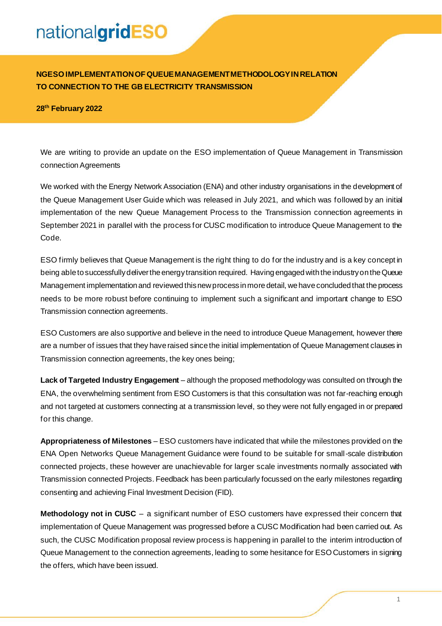# nationalgridESO

**NGESOIMPLEMENTATION OF QUEUE MANAGEMENT METHODOLOGY IN RELATION TO CONNECTION TO THE GB ELECTRICITY TRANSMISSION** 

#### **28th February 2022**

We are writing to provide an update on the ESO implementation of Queue Management in Transmission connection Agreements

We worked with the Energy Network Association (ENA) and other industry organisations in the development of the Queue Management User Guide which was released in July 2021, and which was followed by an initial implementation of the new Queue Management Process to the Transmission connection agreements in September 2021 in parallel with the process for CUSC modification to introduce Queue Management to the Code.

ESO firmly believes that Queue Management is the right thing to do for the industry and is a key concept in being able to successfully deliver the energy transition required. Having engaged with the industry on the Queue Management implementation and reviewed this new process in more detail, we have concluded that the process needs to be more robust before continuing to implement such a significant and important change to ESO Transmission connection agreements.

ESO Customers are also supportive and believe in the need to introduce Queue Management, however there are a number of issues that they have raised since the initial implementation of Queue Management clauses in Transmission connection agreements, the key ones being;

**Lack of Targeted Industry Engagement** – although the proposed methodology was consulted on through the ENA, the overwhelming sentiment from ESO Customers is that this consultation was not far-reaching enough and not targeted at customers connecting at a transmission level, so they were not fully engaged in or prepared for this change.

**Appropriateness of Milestones** – ESO customers have indicated that while the milestones provided on the ENA Open Networks Queue Management Guidance were found to be suitable for small-scale distribution connected projects, these however are unachievable for larger scale investments normally associated with Transmission connected Projects. Feedback has been particularly focussed on the early milestones regarding consenting and achieving Final Investment Decision (FID).

**Methodology not in CUSC** – a significant number of ESO customers have expressed their concern that implementation of Queue Management was progressed before a CUSC Modification had been carried out. As such, the CUSC Modification proposal review process is happening in parallel to the interim introduction of Queue Management to the connection agreements, leading to some hesitance for ESO Customers in signing the offers, which have been issued.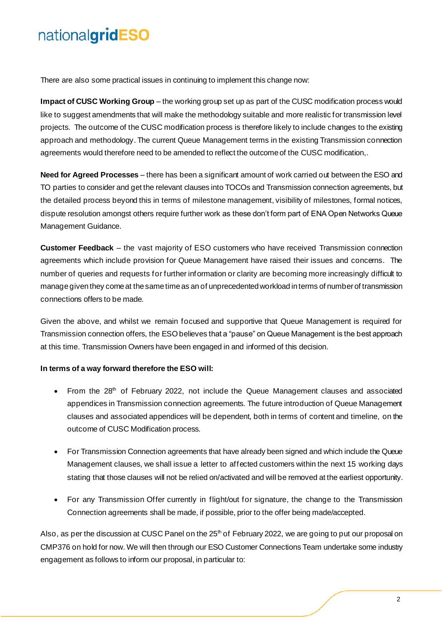### nationalgridESO

There are also some practical issues in continuing to implement this change now:

**Impact of CUSC Working Group** – the working group set up as part of the CUSC modification process would like to suggest amendments that will make the methodology suitable and more realistic for transmission level projects. The outcome of the CUSC modification process is therefore likely to include changes to the existing approach and methodology. The current Queue Management terms in the existing Transmission connection agreements would therefore need to be amended to reflect the outcome of the CUSC modification,.

**Need for Agreed Processes** – there has been a significant amount of work carried out between the ESO and TO parties to consider and get the relevant clauses into TOCOs and Transmission connection agreements, but the detailed process beyond this in terms of milestone management, visibility of milestones, formal notices, dispute resolution amongst others require further work as these don't form part of ENA Open Networks Queue Management Guidance.

**Customer Feedback** – the vast majority of ESO customers who have received Transmission connection agreements which include provision for Queue Management have raised their issues and concerns. The number of queries and requests for further information or clarity are becoming more increasingly difficult to manage given they come at the same time as an of unprecedented workload in terms of number of transmission connections offers to be made.

Given the above, and whilst we remain focused and supportive that Queue Management is required for Transmission connection offers, the ESO believes that a "pause" on Queue Management is the best approach at this time. Transmission Owners have been engaged in and informed of this decision.

#### **In terms of a way forward therefore the ESO will:**

- From the 28<sup>th</sup> of February 2022, not include the Queue Management clauses and associated appendices in Transmission connection agreements. The future introduction of Queue Management clauses and associated appendices will be dependent, both in terms of content and timeline, on the outcome of CUSC Modification process.
- For Transmission Connection agreements that have already been signed and which include the Queue Management clauses, we shall issue a letter to affected customers within the next 15 working days stating that those clauses will not be relied on/activated and will be removed at the earliest opportunity.
- For any Transmission Offer currently in flight/out for signature, the change to the Transmission Connection agreements shall be made, if possible, prior to the offer being made/accepted.

Also, as per the discussion at CUSC Panel on the 25<sup>th</sup> of February 2022, we are going to put our proposal on CMP376 on hold for now. We will then through our ESO Customer Connections Team undertake some industry engagement as follows to inform our proposal, in particular to: